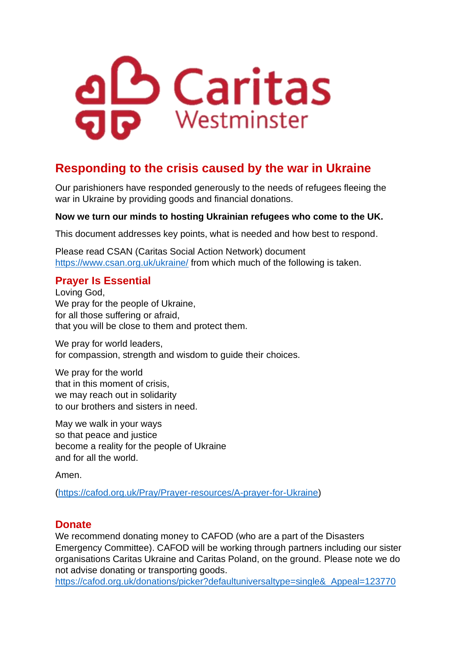

# **Responding to the crisis caused by the war in Ukraine**

Our parishioners have responded generously to the needs of refugees fleeing the war in Ukraine by providing goods and financial donations.

#### **Now we turn our minds to hosting Ukrainian refugees who come to the UK.**

This document addresses key points, what is needed and how best to respond.

Please read CSAN (Caritas Social Action Network) document <https://www.csan.org.uk/ukraine/> from which much of the following is taken.

### **Prayer Is Essential**

Loving God, We pray for the people of Ukraine, for all those suffering or afraid, that you will be close to them and protect them.

We pray for world leaders, for compassion, strength and wisdom to guide their choices.

We pray for the world that in this moment of crisis, we may reach out in solidarity to our brothers and sisters in need.

May we walk in your ways so that peace and justice become a reality for the people of Ukraine and for all the world.

Amen.

[\(https://cafod.org.uk/Pray/Prayer-resources/A-prayer-for-Ukraine\)](https://cafod.org.uk/Pray/Prayer-resources/A-prayer-for-Ukraine)

#### **Donate**

We recommend donating money to CAFOD (who are a part of the Disasters Emergency Committee). CAFOD will be working through partners including our sister organisations Caritas Ukraine and Caritas Poland, on the ground. Please note we do not advise donating or transporting goods.

[https://cafod.org.uk/donations/picker?defaultuniversaltype=single&\\_Appeal=123770](https://cafod.org.uk/donations/picker?defaultuniversaltype=single&_Appeal=123770)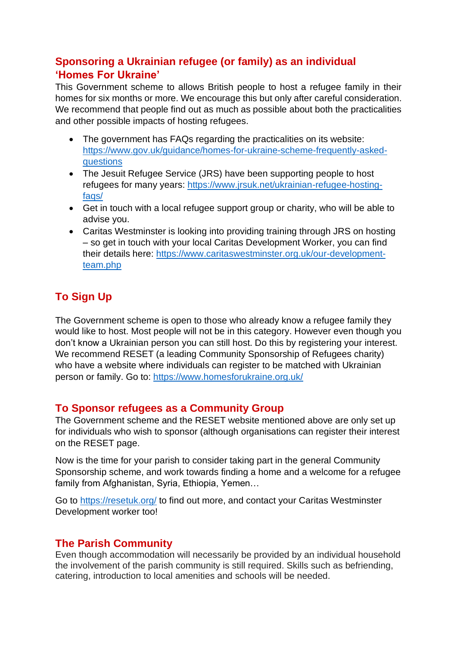## **Sponsoring a Ukrainian refugee (or family) as an individual 'Homes For Ukraine'**

This Government scheme to allows British people to host a refugee family in their homes for six months or more. We encourage this but only after careful consideration. We recommend that people find out as much as possible about both the practicalities and other possible impacts of hosting refugees.

- The government has FAQs regarding the practicalities on its website: [https://www.gov.uk/guidance/homes-for-ukraine-scheme-frequently-asked](https://www.gov.uk/guidance/homes-for-ukraine-scheme-frequently-asked-questions)[questions](https://www.gov.uk/guidance/homes-for-ukraine-scheme-frequently-asked-questions)
- The Jesuit Refugee Service (JRS) have been supporting people to host refugees for many years: [https://www.jrsuk.net/ukrainian-refugee-hosting](https://www.jrsuk.net/ukrainian-refugee-hosting-faqs/)[faqs/](https://www.jrsuk.net/ukrainian-refugee-hosting-faqs/)
- Get in touch with a local refugee support group or charity, who will be able to advise you.
- Caritas Westminster is looking into providing training through JRS on hosting – so get in touch with your local Caritas Development Worker, you can find their details here: [https://www.caritaswestminster.org.uk/our-development](https://www.caritaswestminster.org.uk/our-development-team.php)[team.php](https://www.caritaswestminster.org.uk/our-development-team.php)

## **To Sign Up**

The Government scheme is open to those who already know a refugee family they would like to host. Most people will not be in this category. However even though you don't know a Ukrainian person you can still host. Do this by registering your interest. We recommend RESET (a leading Community Sponsorship of Refugees charity) who have a website where individuals can register to be matched with Ukrainian person or family. Go to:<https://www.homesforukraine.org.uk/>

#### **To Sponsor refugees as a Community Group**

The Government scheme and the RESET website mentioned above are only set up for individuals who wish to sponsor (although organisations can register their interest on the RESET page.

Now is the time for your parish to consider taking part in the general Community Sponsorship scheme, and work towards finding a home and a welcome for a refugee family from Afghanistan, Syria, Ethiopia, Yemen...

Go to<https://resetuk.org/> to find out more, and contact your Caritas Westminster Development worker too!

## **The Parish Community**

Even though accommodation will necessarily be provided by an individual household the involvement of the parish community is still required. Skills such as befriending, catering, introduction to local amenities and schools will be needed.